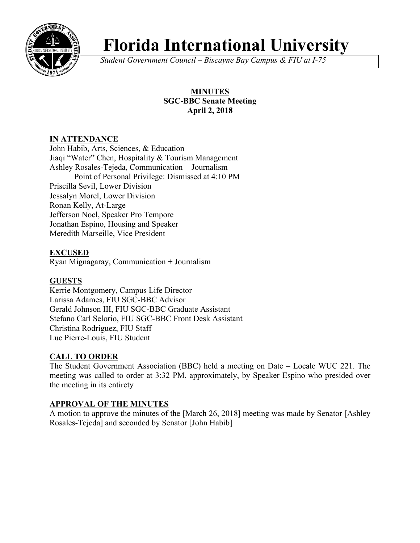

# **Florida International University**

*Student Government Council – Biscayne Bay Campus & FIU at I-75*

## **MINUTES SGC-BBC Senate Meeting April 2, 2018**

## **IN ATTENDANCE**

John Habib, Arts, Sciences, & Education Jiaqi "Water" Chen, Hospitality & Tourism Management Ashley Rosales-Tejeda, Communication + Journalism Point of Personal Privilege: Dismissed at 4:10 PM Priscilla Sevil, Lower Division Jessalyn Morel, Lower Division Ronan Kelly, At-Large Jefferson Noel, Speaker Pro Tempore Jonathan Espino, Housing and Speaker Meredith Marseille, Vice President

#### **EXCUSED**

Ryan Mignagaray, Communication + Journalism

# **GUESTS**

Kerrie Montgomery, Campus Life Director Larissa Adames, FIU SGC-BBC Advisor Gerald Johnson III, FIU SGC-BBC Graduate Assistant Stefano Carl Selorio, FIU SGC-BBC Front Desk Assistant Christina Rodriguez, FIU Staff Luc Pierre-Louis, FIU Student

# **CALL TO ORDER**

The Student Government Association (BBC) held a meeting on Date – Locale WUC 221. The meeting was called to order at 3:32 PM, approximately, by Speaker Espino who presided over the meeting in its entirety

#### **APPROVAL OF THE MINUTES**

A motion to approve the minutes of the [March 26, 2018] meeting was made by Senator [Ashley Rosales-Tejeda] and seconded by Senator [John Habib]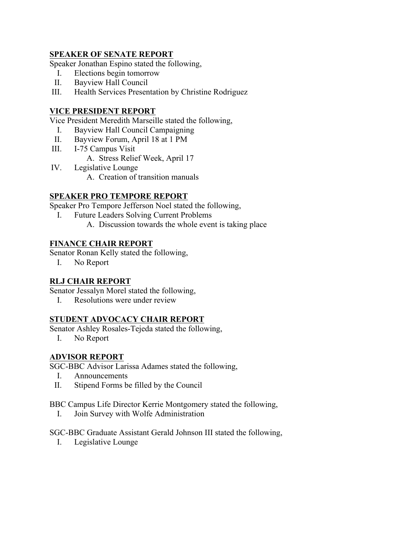#### **SPEAKER OF SENATE REPORT**

Speaker Jonathan Espino stated the following,

- I. Elections begin tomorrow
- II. Bayview Hall Council
- III. Health Services Presentation by Christine Rodriguez

#### **VICE PRESIDENT REPORT**

Vice President Meredith Marseille stated the following,

- I. Bayview Hall Council Campaigning
- II. Bayview Forum, April 18 at 1 PM
- III. I-75 Campus Visit
	- A. Stress Relief Week, April 17
- IV. Legislative Lounge
	- A. Creation of transition manuals

#### **SPEAKER PRO TEMPORE REPORT**

Speaker Pro Tempore Jefferson Noel stated the following,

- I. Future Leaders Solving Current Problems
	- A. Discussion towards the whole event is taking place

#### **FINANCE CHAIR REPORT**

Senator Ronan Kelly stated the following,

I. No Report

#### **RLJ CHAIR REPORT**

Senator Jessalyn Morel stated the following,

I. Resolutions were under review

#### **STUDENT ADVOCACY CHAIR REPORT**

Senator Ashley Rosales-Tejeda stated the following,

I. No Report

#### **ADVISOR REPORT**

SGC-BBC Advisor Larissa Adames stated the following,

- I. Announcements
- II. Stipend Forms be filled by the Council

BBC Campus Life Director Kerrie Montgomery stated the following,

I. Join Survey with Wolfe Administration

SGC-BBC Graduate Assistant Gerald Johnson III stated the following,

I. Legislative Lounge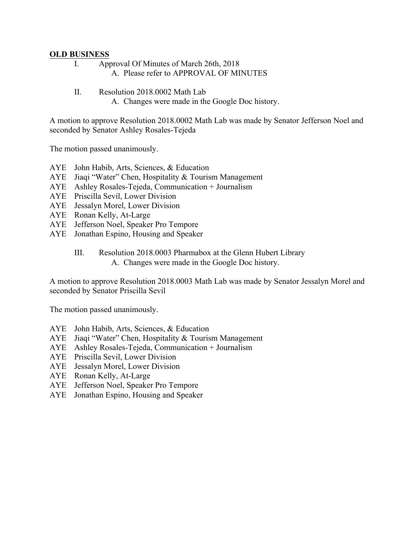#### **OLD BUSINESS**

- I. Approval Of Minutes of March 26th, 2018 A. Please refer to APPROVAL OF MINUTES
- II. Resolution 2018 0002 Math Lab
	- A. Changes were made in the Google Doc history.

A motion to approve Resolution 2018.0002 Math Lab was made by Senator Jefferson Noel and seconded by Senator Ashley Rosales-Tejeda

The motion passed unanimously.

- AYE John Habib, Arts, Sciences, & Education
- AYE Jiaqi "Water" Chen, Hospitality & Tourism Management
- AYE Ashley Rosales-Tejeda, Communication + Journalism
- AYE Priscilla Sevil, Lower Division
- AYE Jessalyn Morel, Lower Division
- AYE Ronan Kelly, At-Large
- AYE Jefferson Noel, Speaker Pro Tempore
- AYE Jonathan Espino, Housing and Speaker

#### III. Resolution 2018.0003 Pharmabox at the Glenn Hubert Library A. Changes were made in the Google Doc history.

A motion to approve Resolution 2018.0003 Math Lab was made by Senator Jessalyn Morel and seconded by Senator Priscilla Sevil

The motion passed unanimously.

- AYE John Habib, Arts, Sciences, & Education
- AYE Jiaqi "Water" Chen, Hospitality & Tourism Management
- AYE Ashley Rosales-Tejeda, Communication + Journalism
- AYE Priscilla Sevil, Lower Division
- AYE Jessalyn Morel, Lower Division
- AYE Ronan Kelly, At-Large
- AYE Jefferson Noel, Speaker Pro Tempore
- AYE Jonathan Espino, Housing and Speaker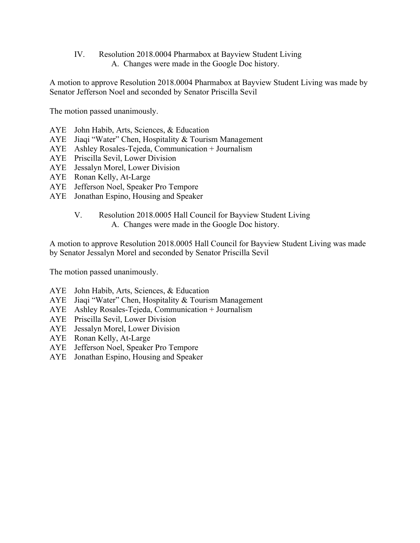IV. Resolution 2018.0004 Pharmabox at Bayview Student Living A. Changes were made in the Google Doc history.

A motion to approve Resolution 2018.0004 Pharmabox at Bayview Student Living was made by Senator Jefferson Noel and seconded by Senator Priscilla Sevil

The motion passed unanimously.

- AYE John Habib, Arts, Sciences, & Education
- AYE Jiaqi "Water" Chen, Hospitality & Tourism Management
- AYE Ashley Rosales-Tejeda, Communication + Journalism
- AYE Priscilla Sevil, Lower Division
- AYE Jessalyn Morel, Lower Division
- AYE Ronan Kelly, At-Large
- AYE Jefferson Noel, Speaker Pro Tempore
- AYE Jonathan Espino, Housing and Speaker

# V. Resolution 2018.0005 Hall Council for Bayview Student Living

A. Changes were made in the Google Doc history.

A motion to approve Resolution 2018.0005 Hall Council for Bayview Student Living was made by Senator Jessalyn Morel and seconded by Senator Priscilla Sevil

The motion passed unanimously.

- AYE John Habib, Arts, Sciences, & Education
- AYE Jiaqi "Water" Chen, Hospitality & Tourism Management
- AYE Ashley Rosales-Tejeda, Communication + Journalism
- AYE Priscilla Sevil, Lower Division
- AYE Jessalyn Morel, Lower Division
- AYE Ronan Kelly, At-Large
- AYE Jefferson Noel, Speaker Pro Tempore
- AYE Jonathan Espino, Housing and Speaker